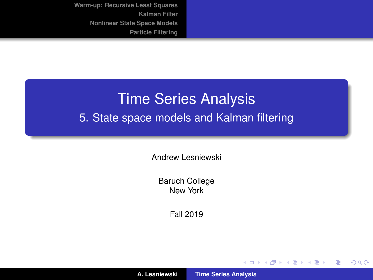# <span id="page-0-0"></span>Time Series Analysis 5. State space models and Kalman filtering

Andrew Lesniewski

Baruch College New York

Fall 2019

(ロトス個) (運) (運)

 $299$ 

重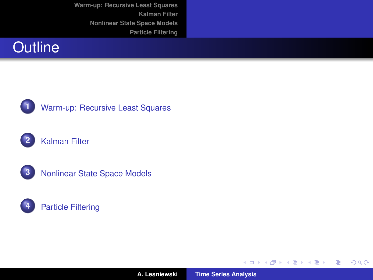



#### **1** [Warm-up: Recursive Least Squares](#page-3-0)





**3** [Nonlinear State Space Models](#page-36-0)



**A. Lesniewski [Time Series Analysis](#page-0-0)**

メロトメ 伊 トメ ミトメ ミト

重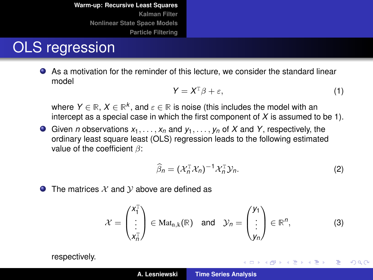#### OLS regression

As a motivation for the reminder of this lecture, we consider the standard linear model

$$
Y = X^{\mathsf{T}}\beta + \varepsilon,\tag{1}
$$

where  $Y \in \mathbb{R},$   $X \in \mathbb{R}^k,$  and  $\varepsilon \in \mathbb{R}$  is noise (this includes the model with an intercept as a special case in which the first component of *X* is assumed to be 1).

Given *n* observations *x*1, . . . , *x<sup>n</sup>* and *y*1, . . . , *y<sup>n</sup>* of *X* and *Y*, respectively, the ordinary least square least (OLS) regression leads to the following estimated value of the coefficient  $\beta$ :

<span id="page-2-0"></span>
$$
\widehat{\beta}_n = (\mathcal{X}_n^{\mathsf{T}} \mathcal{X}_n)^{-1} \mathcal{X}_n^{\mathsf{T}} \mathcal{Y}_n. \tag{2}
$$

イロメ イ部メ イ君メ イ君メー

÷.  $298$ 

 $\bullet$  The matrices X and V above are defined as

<span id="page-2-1"></span>
$$
\mathcal{X} = \begin{pmatrix} X_1^T \\ \vdots \\ X_n^T \end{pmatrix} \in Mat_{n,k}(\mathbb{R}) \quad \text{and} \quad \mathcal{Y}_n = \begin{pmatrix} y_1 \\ \vdots \\ y_n \end{pmatrix} \in \mathbb{R}^n, \tag{3}
$$

respectively.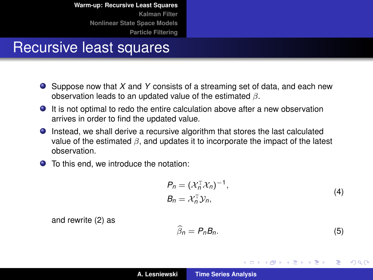#### <span id="page-3-0"></span>Recursive least squares

- Suppose now that *X* and *Y* consists of a streaming set of data, and each new observation leads to an updated value of the estimated  $\beta$ .
- It is not optimal to redo the entire calculation above after a new observation arrives in order to find the updated value.
- Instead, we shall derive a recursive algorithm that stores the last calculated value of the estimated  $\beta$ , and updates it to incorporate the impact of the latest observation.
- To this end, we introduce the notation:

$$
P_n = (\mathcal{X}_n^{\mathrm{T}} \mathcal{X}_n)^{-1},
$$
  
\n
$$
B_n = \mathcal{X}_n^{\mathrm{T}} \mathcal{Y}_n,
$$
\n(4)

and rewrite [\(2\)](#page-2-0) as

<span id="page-3-1"></span>
$$
\widehat{\beta}_n = P_n B_n. \tag{5}
$$

(ロトス個) (運) (運)

 $299$ 

Þ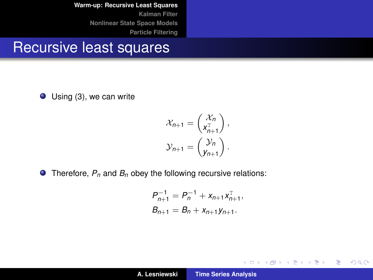#### Recursive least squares

Using [\(3\)](#page-2-1), we can write

$$
\chi_{n+1} = \begin{pmatrix} \chi_n \\ \chi_{n+1}^{\mathrm{T}} \end{pmatrix},
$$

$$
\mathcal{Y}_{n+1} = \begin{pmatrix} \mathcal{Y}_n \\ \mathcal{Y}_{n+1} \end{pmatrix}.
$$

● Therefore,  $P_n$  and  $B_n$  obey the following recursive relations:

$$
P_{n+1}^{-1} = P_n^{-1} + x_{n+1} x_{n+1}^T,
$$
  
\n
$$
B_{n+1} = B_n + x_{n+1} y_{n+1}.
$$

イロトス 御 トス 言 トス 言 トー

重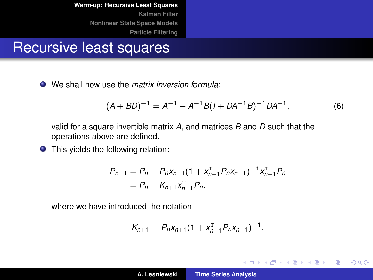#### Recursive least squares

We shall now use the *matrix inversion formula*:

$$
(A + BD)^{-1} = A^{-1} - A^{-1}B(I + DA^{-1}B)^{-1}DA^{-1},
$$
\n(6)

イロメ イ部メ イ君メ イ君メー

 $299$ 

重

valid for a square invertible matrix *A*, and matrices *B* and *D* such that the operations above are defined.

**•** This yields the following relation:

$$
P_{n+1} = P_n - P_n x_{n+1} (1 + x_{n+1}^T P_n x_{n+1})^{-1} x_{n+1}^T P_n
$$
  
=  $P_n - K_{n+1} x_{n+1}^T P_n$ .

where we have introduced the notation

$$
K_{n+1} = P_n x_{n+1} (1 + x_{n+1}^T P_n x_{n+1})^{-1}.
$$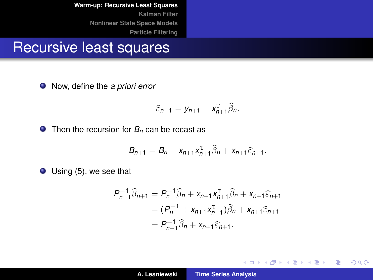#### Recursive least squares

Now, define the *a priori error*

$$
\widehat{\varepsilon}_{n+1} = y_{n+1} - x_{n+1}^{\mathrm{T}} \widehat{\beta}_n.
$$

**◯** Then the recursion for *B<sub>n</sub>* can be recast as

$$
B_{n+1}=B_n+x_{n+1}x_{n+1}^{\mathrm{T}}\widehat{\beta}_n+x_{n+1}\widehat{\varepsilon}_{n+1}.
$$

● Using [\(5\)](#page-3-1), we see that

$$
P_{n+1}^{-1}\widehat{\beta}_{n+1} = P_n^{-1}\widehat{\beta}_n + x_{n+1}x_{n+1}^{-}\widehat{\beta}_n + x_{n+1}\widehat{\varepsilon}_{n+1}
$$
  
=  $(P_n^{-1} + x_{n+1}x_{n+1}^{-})\widehat{\beta}_n + x_{n+1}\widehat{\varepsilon}_{n+1}$   
=  $P_{n+1}^{-1}\widehat{\beta}_n + x_{n+1}\widehat{\varepsilon}_{n+1}$ .

イロメ イ部メ イヨメ イヨメー

重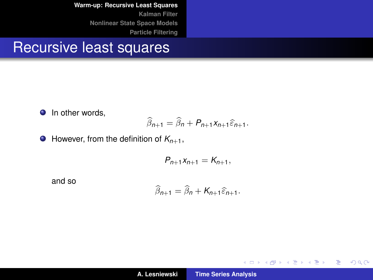#### Recursive least squares

**O** In other words,

$$
\widehat{\beta}_{n+1} = \widehat{\beta}_n + P_{n+1} x_{n+1} \widehat{\varepsilon}_{n+1}.
$$

 $\bullet$  However, from the definition of  $K_{n+1}$ ,

$$
P_{n+1}x_{n+1}=K_{n+1},
$$

and so

$$
\widehat{\beta}_{n+1} = \widehat{\beta}_n + K_{n+1} \widehat{\varepsilon}_{n+1}.
$$

イロトス 伊 トス ヨ トス ヨ トー

重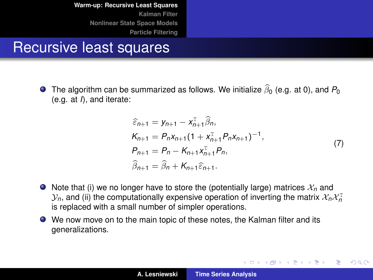#### Recursive least squares

The algorithm can be summarized as follows. We initialize  $\beta_0$  (e.g. at 0), and  $P_0$ <br>(e.g. at 0 and iterate: (e.g. at *I*), and iterate:

$$
\begin{aligned}\n\widehat{\varepsilon}_{n+1} &= y_{n+1} - x_{n+1}^{\mathrm{T}} \widehat{\beta}_n, \\
K_{n+1} &= P_n x_{n+1} (1 + x_{n+1}^{\mathrm{T}} P_n x_{n+1})^{-1}, \\
P_{n+1} &= P_n - K_{n+1} x_{n+1}^{\mathrm{T}} P_n, \\
\widehat{\beta}_{n+1} &= \widehat{\beta}_n + K_{n+1} \widehat{\varepsilon}_{n+1}.\n\end{aligned} \tag{7}
$$

イロメ イ部メ イ君メ イ君メー

 $299$ 

Þ

- $\bullet$  Note that (i) we no longer have to store the (potentially large) matrices  $\mathcal{X}_n$  and  $\mathcal{Y}_n$ , and (ii) the computationally expensive operation of inverting the matrix  $\mathcal{X}_n\mathcal{X}_n^{\text{T}}$ is replaced with a small number of simpler operations.
- We now move on to the main topic of these notes, the Kalman filter and its generalizations.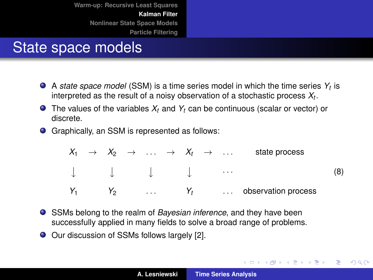# State space models

- A *state space model* (SSM) is a time series model in which the time series *Y<sup>t</sup>* is interpreted as the result of a noisy observation of a stochastic process *X<sup>t</sup>* .
- The values of the variables  $X_t$  and  $Y_t$  can be continuous (scalar or vector) or discrete.
- Graphically, an SSM is represented as follows:

|  |                |          |  |       |          | $X_1 \rightarrow X_2 \rightarrow \ldots \rightarrow X_t \rightarrow \ldots$ state process |  |
|--|----------------|----------|--|-------|----------|-------------------------------------------------------------------------------------------|--|
|  |                |          |  |       | $\cdots$ |                                                                                           |  |
|  | Y <sub>2</sub> | $\cdots$ |  | $Y_t$ |          | observation process                                                                       |  |

- SSMs belong to the realm of *Bayesian inference*, and they have been successfully applied in many fields to solve a broad range of problems.
- Our discussion of SSMs follows largely [\[2\]](#page-62-0).

(ロトス個) (運) (運)

 $299$ 

Þ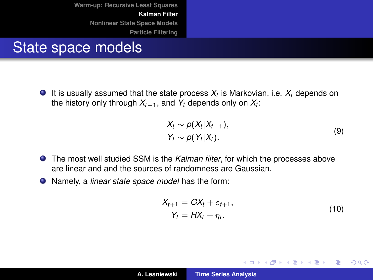#### <span id="page-10-0"></span>State space models

It is usually assumed that the state process *X<sup>t</sup>* is Markovian, i.e. *X<sup>t</sup>* depends on the history only through *Xt*−1, and *Y<sup>t</sup>* depends only on *X<sup>t</sup>* :

$$
X_t \sim p(X_t | X_{t-1}),
$$
  
\n
$$
Y_t \sim p(Y_t | X_t).
$$
\n(9)

- The most well studied SSM is the *Kalman filter*, for which the processes above are linear and and the sources of randomness are Gaussian.
- <span id="page-10-1"></span>Namely, a *linear state space model* has the form:

$$
X_{t+1} = GX_t + \varepsilon_{t+1},
$$
  
\n
$$
Y_t = HX_t + \eta_t.
$$
\n(10)

イロメ イ部メ イ君メ イ君メー

 $299$ 

重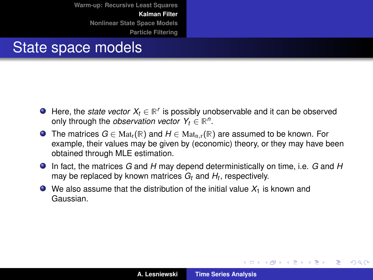#### State space models

- Here, the *state vector*  $X_t \in \mathbb{R}^r$  is possibly unobservable and it can be observed only through the *observation vector*  $Y_t \in \mathbb{R}^n$ .
- **■** The matrices  $G \in Mat_r(\mathbb{R})$  and  $H \in Mat_{n,r}(\mathbb{R})$  are assumed to be known. For example, their values may be given by (economic) theory, or they may have been obtained through MLE estimation.
- In fact, the matrices *G* and *H* may depend deterministically on time, i.e. *G* and *H* may be replaced by known matrices *G<sup>t</sup>* and *H<sup>t</sup>* , respectively.
- $\bullet$  We also assume that the distribution of the initial value  $X_1$  is known and Gaussian.

イロメ イ部メ イ君メ イ君メー

重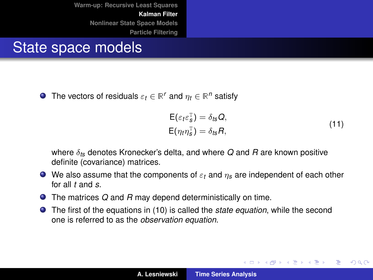#### State space models

The vectors of residuals  $\varepsilon_t \in \mathbb{R}^r$  and  $\eta_t \in \mathbb{R}^n$  satisfy

$$
\begin{aligned} \mathsf{E}(\varepsilon_t \varepsilon_s^{\mathrm{T}}) &= \delta_{t\mathsf{S}} \mathsf{Q}, \\ \mathsf{E}(\eta_t \eta_s^{\mathrm{T}}) &= \delta_{t\mathsf{S}} \mathsf{R}, \end{aligned} \tag{11}
$$

イロメ イ部メ イ君メ イ君メー

Þ

 $298$ 

where δ*ts* denotes Kronecker's delta, and where *Q* and *R* are known positive definite (covariance) matrices.

- $\bullet$  We also assume that the components of  $\varepsilon_t$  and  $\eta_s$  are independent of each other for all *t* and *s*.
- The matrices *Q* and *R* may depend deterministically on time.
- The first of the equations in [\(10\)](#page-10-1) is called the *state equation*, while the second one is referred to as the *observation equation*.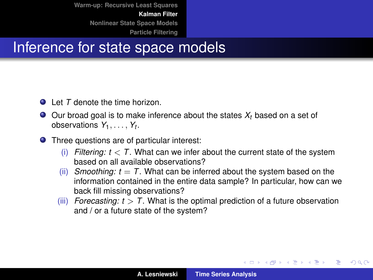#### Inference for state space models

- **Q** Let *T* denote the time horizon.
- $\bullet$  Our broad goal is to make inference about the states  $X_t$  based on a set of observations  $Y_1, \ldots, Y_t$ .
- Three questions are of particular interest:
	- (i) *Filtering:*  $t < T$ . What can we infer about the current state of the system based on all available observations?
	- (ii) *Smoothing:*  $t = T$ *.* What can be inferred about the system based on the information contained in the entire data sample? In particular, how can we back fill missing observations?
	- (iii) *Forecasting:*  $t > T$ *.* What is the optimal prediction of a future observation and / or a future state of the system?

イロメ イ部メ イ君メ イ君メー

Þ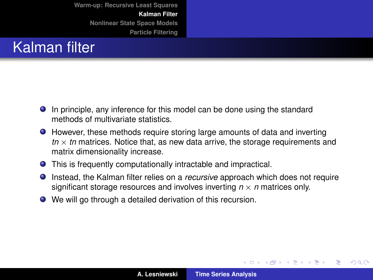# Kalman filter

- In principle, any inference for this model can be done using the standard methods of multivariate statistics.
- However, these methods require storing large amounts of data and inverting  $tn \times tn$  matrices. Notice that, as new data arrive, the storage requirements and matrix dimensionality increase.
- This is frequently computationally intractable and impractical.
- **Instead, the Kalman filter relies on a** *recursive* **approach which does not require** significant storage resources and involves inverting  $n \times n$  matrices only.
- We will go through a detailed derivation of this recursion.

イロメ イ部メ イ君メ イ君メー

 $2Q$ 

Þ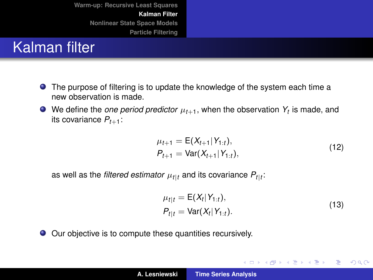# Kalman filter

- The purpose of filtering is to update the knowledge of the system each time a new observation is made.
- We define the *one period predictor*  $\mu_{t+1}$ , when the observation  $Y_t$  is made, and its covariance  $P_{t+1}$ :

$$
\mu_{t+1} = \mathsf{E}(X_{t+1}|Y_{1:t}), \nP_{t+1} = \text{Var}(X_{t+1}|Y_{1:t}),
$$
\n(12)

<span id="page-15-0"></span>as well as the *filtered estimator*  $\mu_{t\mid t}$  and its covariance  $P_{t\mid t}$ :

$$
\mu_{t|t} = \mathsf{E}(X_t|Y_{1:t}),
$$
  
\n
$$
P_{t|t} = \text{Var}(X_t|Y_{1:t}).
$$
\n(13)

イロメ イ部メ イ君メ イ君メー

 $2Q$ 

重

<span id="page-15-1"></span>Our objective is to compute these quantities recursively.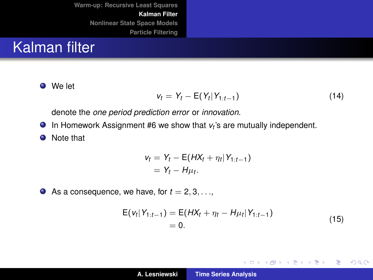#### <span id="page-16-0"></span>Kalman filter

We let

$$
v_t = Y_t - E(Y_t|Y_{1:t-1})
$$
\n(14)

denote the *one period prediction error* or *innovation*.

In Homework Assignment #6 we show that *v<sup>t</sup>* 's are mutually independent.

**O** Note that

$$
v_t = Y_t - \mathsf{E}(H X_t + \eta_t | Y_{1:t-1})
$$
  
=  $Y_t - H \mu_t$ .

As a consequence, we have, for  $t = 2, 3, \ldots$ ,

$$
E(v_t|Y_{1:t-1}) = E(HX_t + \eta_t - H\mu_t|Y_{1:t-1})
$$
  
= 0. (15)

イロメ イ部メ イ君メ イ君メー

重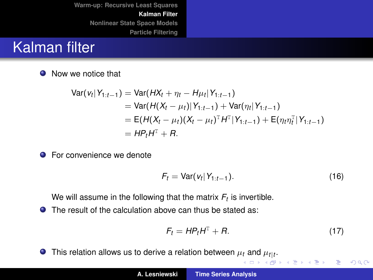#### <span id="page-17-0"></span>Kalman filter

**O** Now we notice that

$$
\begin{aligned} \text{Var}(v_t|Y_{1:t-1}) &= \text{Var}(HX_t + \eta_t - H\mu_t|Y_{1:t-1}) \\ &= \text{Var}(H(X_t - \mu_t)|Y_{1:t-1}) + \text{Var}(\eta_t|Y_{1:t-1}) \\ &= \text{E}(H(X_t - \mu_t)(X_t - \mu_t)^{\mathrm{T}}H^{\mathrm{T}}|Y_{1:t-1}) + \text{E}(\eta_t \eta_t^{\mathrm{T}}|Y_{1:t-1}) \\ &= H\mu_t H^{\mathrm{T}} + R. \end{aligned}
$$

**•** For convenience we denote

<span id="page-17-1"></span>
$$
F_t = \text{Var}(v_t|Y_{1:t-1}).\tag{16}
$$

We will assume in the following that the matrix  $F_t$  is invertible.

● The result of the calculation above can thus be stated as:

$$
F_t = HP_tH^T + R. \tag{17}
$$

K ロ ▶ K 御 ▶ K 君 ▶ K 君 ▶

重

 $2Q$ 

This rela[t](#page-17-0)ion allows us to derive a relation between  $\mu_t$  and  $\mu_{t\mid t}.$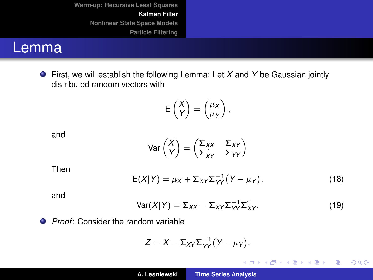#### Lemma

First, we will establish the following Lemma: Let *X* and *Y* be Gaussian jointly distributed random vectors with

$$
\mathsf{E}\begin{pmatrix} X \\ Y \end{pmatrix} = \begin{pmatrix} \mu_X \\ \mu_Y \end{pmatrix},
$$

and

$$
Var\begin{pmatrix} X \\ Y \end{pmatrix} = \begin{pmatrix} \Sigma_{XX} & \Sigma_{XY} \\ \Sigma_{XY}^T & \Sigma_{YY} \end{pmatrix}
$$

Then

<span id="page-18-0"></span>
$$
E(X|Y) = \mu_X + \Sigma_{XY} \Sigma_{YY}^{-1} (Y - \mu_Y), \qquad (18)
$$

and

<span id="page-18-1"></span>
$$
Var(X|Y) = \Sigma_{XX} - \Sigma_{XY} \Sigma_{YY}^{-1} \Sigma_{XY}^{T}.
$$
 (19)

イロメ イ部メ イヨメ イヨメー

重。  $2QQ$ 

**Proof:** Consider the random variable

$$
Z=X-\Sigma_{XY}\Sigma_{YY}^{-1}(Y-\mu_Y).
$$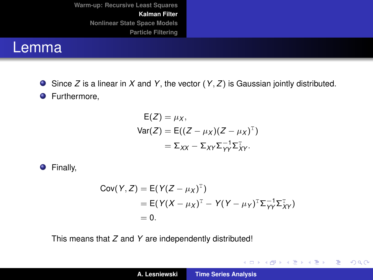#### Lemma

Since *Z* is a linear in *X* and *Y*, the vector (*Y*, *Z*) is Gaussian jointly distributed.

**O** Furthermore,

$$
E(Z) = \mu_X,
$$
  
\n
$$
Var(Z) = E((Z - \mu_X)(Z - \mu_X)^T)
$$
  
\n
$$
= \Sigma_{XX} - \Sigma_{XY} \Sigma_{YY}^{-1} \Sigma_{XY}^T.
$$

**O** Finally,

$$
Cov(Y, Z) = E(Y(Z - \mu_X)^T)
$$
  
= E(Y(X - \mu\_X)^T - Y(Y - \mu\_Y)^T\Sigma\_{YY}^{-1}\Sigma\_{XY}^T)  
= 0.

This means that *Z* and *Y* are independently distributed!

イロメ イ部メ イヨメ イヨメー

重。  $298$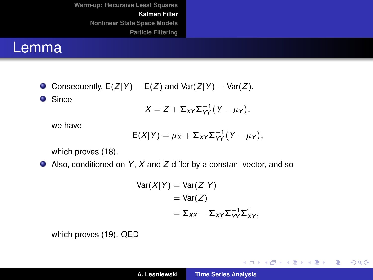#### Lemma

Consequently,  $E(Z|Y) = E(Z)$  and  $Var(Z|Y) = Var(Z)$ .

**O** Since

$$
X = Z + \Sigma_{XY} \Sigma_{YY}^{-1} (Y - \mu_Y),
$$

we have

$$
E(X|Y) = \mu_X + \Sigma_{XY} \Sigma_{YY}^{-1} (Y - \mu_Y),
$$

which proves [\(18\)](#page-18-0).

Also, conditioned on *Y*, *X* and *Z* differ by a constant vector, and so

$$
Var(X|Y) = Var(Z|Y)
$$
  
= Var(Z)  
=  $\Sigma_{XX} - \Sigma_{XY} \Sigma_{YY}^{-1} \Sigma_{XY}^T$ 

which proves [\(19\)](#page-18-1). QED

イロトメ 御 トメ ミトメ ミトー

 $E = \Omega Q$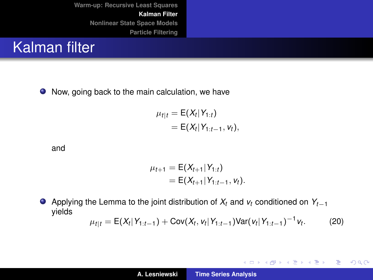

● Now, going back to the main calculation, we have

$$
\mu_{t|t} = \mathsf{E}(X_t|Y_{1:t}) \\
= \mathsf{E}(X_t|Y_{1:t-1}, V_t),
$$

and

$$
\mu_{t+1} = \mathsf{E}(X_{t+1}|Y_{1:t})
$$
  
=  $\mathsf{E}(X_{t+1}|Y_{1:t-1}, v_t).$ 

Applying the Lemma to the joint distribution of  $X_t$  and  $v_t$  conditioned on  $Y_{t-1}$  $\bullet$ yields −1

<span id="page-21-0"></span>
$$
\mu_{t|t} = \mathsf{E}(X_t|Y_{1:t-1}) + \mathsf{Cov}(X_t, v_t|Y_{1:t-1})\mathsf{Var}(v_t|Y_{1:t-1})^{-1}v_t. \tag{20}
$$

イロトメ 御 トメ 君 トメ 君 トー

重

 $2Q$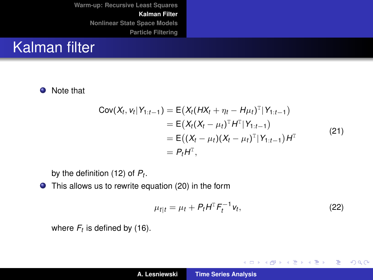#### Kalman filter

**O** Note that

$$
Cov(X_t, v_t | Y_{1:t-1}) = E(X_t (HX_t + \eta_t - H\mu_t)^T | Y_{1:t-1})
$$
  
= E(X\_t (X\_t - \mu\_t)^T H^T | Y\_{1:t-1})  
= E((X\_t - \mu\_t)(X\_t - \mu\_t)^T | Y\_{1:t-1}) H^T  
= P\_t H^T, (21)

by the definition [\(12\)](#page-15-0) of *P<sup>t</sup>* .

This allows us to rewrite equation [\(20\)](#page-21-0) in the form

$$
\mu_{t|t} = \mu_t + P_t H^{\mathrm{T}} F_t^{-1} v_t, \qquad (22)
$$

イロト イ部 トイ君 トイ君 トー

重。  $298$ 

where  $F_t$  is defined by [\(16\)](#page-17-1).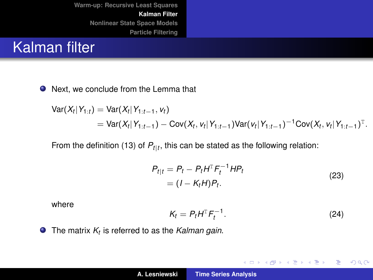#### Kalman filter

● Next, we conclude from the Lemma that

$$
\begin{aligned} \text{Var}(X_t|Y_{1:t}) &= \text{Var}(X_t|Y_{1:t-1}, v_t) \\ &= \text{Var}(X_t|Y_{1:t-1}) - \text{Cov}(X_t, v_t|Y_{1:t-1}) \text{Var}(v_t|Y_{1:t-1})^{-1} \text{Cov}(X_t, v_t|Y_{1:t-1})^{\text{T}}. \end{aligned}
$$

From the definition [\(13\)](#page-15-1) of *Pt*|*<sup>t</sup>* , this can be stated as the following relation:

$$
P_{t|t} = P_t - P_t H^T F_t^{-1} H P_t
$$
  
=  $(I - K_t H) P_t$ . (23)

<span id="page-23-0"></span>where

<span id="page-23-1"></span>
$$
K_t = P_t H^T F_t^{-1}.
$$
 (24)

イロメ イ部メ イヨメ イヨメー

重

 $2Q$ 

The matrix *K<sup>t</sup>* is referred to as the *Kalman gain*.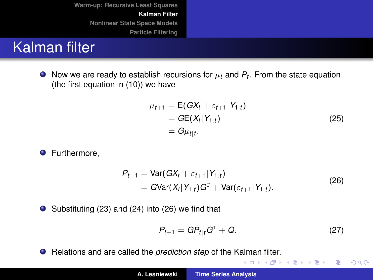# Kalman filter

Now we are ready to establish recursions for  $\mu_t$  and  $P_t$ . From the state equation (the first equation in [\(10\)](#page-10-1)) we have

$$
\mu_{t+1} = E(GX_t + \varepsilon_{t+1} | Y_{1:t}) \n= GE(X_t | Y_{1:t}) \n= G\mu_{t|t}.
$$
\n(25)

**O** Furthermore.

<span id="page-24-0"></span>
$$
P_{t+1} = \text{Var}(GX_t + \varepsilon_{t+1} | Y_{1:t})
$$
  
=  $G\text{Var}(X_t | Y_{1:t}) G^T + \text{Var}(\varepsilon_{t+1} | Y_{1:t}).$  (26)

 $\bullet$  Substituting [\(23\)](#page-23-0) and [\(24\)](#page-23-1) into [\(26\)](#page-24-0) we find that

$$
P_{t+1} = GP_{t|t} G^{T} + Q.
$$
 (27)

イロメ イ団メ イヨメ イヨメー

 $E \Omega Q$ 

Relations and are called the *prediction step* of the Kalman filter.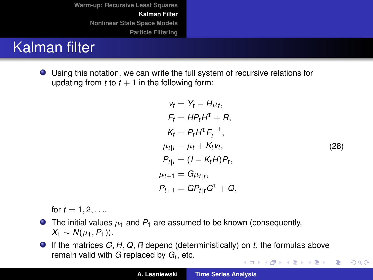# Kalman filter

Using this notation, we can write the full system of recursive relations for updating from  $t$  to  $t + 1$  in the following form:

$$
v_t = Y_t - H\mu_t,
$$
  
\n
$$
F_t = HP_tH^T + R,
$$
  
\n
$$
K_t = P_tH^T F_t^{-1},
$$
  
\n
$$
\mu_{t|t} = \mu_t + K_t v_t,
$$
  
\n
$$
P_{t|t} = (I - K_t H)P_t,
$$
  
\n
$$
\mu_{t+1} = G\mu_{t|t},
$$
  
\n
$$
P_{t+1} = GP_{t|t}G^T + Q,
$$
  
\n(28)

 $2Q$ 

<span id="page-25-0"></span>for  $t = 1, 2, \ldots$ 

- $\bullet$  The initial values  $\mu_1$  and  $P_1$  are assumed to be known (consequently, *X*<sub>1</sub> ∼ *N*( $\mu_1$ , *P*<sub>1</sub>)).
- If the matrices *G*, *H*, *Q*, *R* depend (deterministically) on *t*, the formulas above remain valid with *G* replaced by *G<sup>t</sup>* , etc. メロトメ 御 メメ きょくきょうき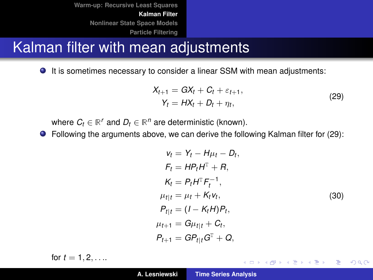#### Kalman filter with mean adjustments

It is sometimes necessary to consider a linear SSM with mean adjustments:

$$
X_{t+1} = GX_t + C_t + \varepsilon_{t+1},
$$
  
\n
$$
Y_t = HX_t + D_t + \eta_t,
$$
\n(29)

<span id="page-26-0"></span>where  $C_t \in \mathbb{R}^r$  and  $D_t \in \mathbb{R}^n$  are deterministic (known).

Following the arguments above, we can derive the following Kalman filter for [\(29\)](#page-26-0):

$$
v_t = Y_t - H\mu_t - D_t,
$$
  
\n
$$
F_t = HP_tH^T + R,
$$
  
\n
$$
K_t = P_tH^T F_t^{-1},
$$
  
\n
$$
\mu_{t|t} = \mu_t + K_t v_t,
$$
  
\n
$$
P_{t|t} = (I - K_t H)P_t,
$$
  
\n
$$
\mu_{t+1} = G\mu_{t|t} + C_t,
$$
  
\n
$$
P_{t+1} = GP_{t|t}G^T + Q,
$$
  
\n(30)

K ロ ⊁ K 伊 ⊁ K 君 ⊁ K 君 ⊁ …

 $2990$ 重

for  $t = 1, 2, ...$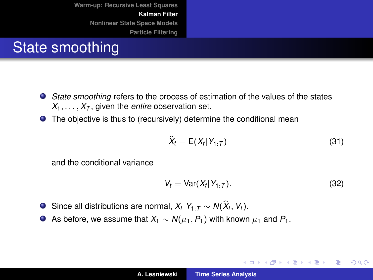# State smoothing

- *State smoothing* refers to the process of estimation of the values of the states  $X_1, \ldots, X_T$ , given the *entire* observation set.
- **•** The objective is thus to (recursively) determine the conditional mean

$$
\widehat{X}_t = \mathsf{E}(X_t|Y_{1:T})
$$
\n(31)

and the conditional variance

$$
V_t = \text{Var}(X_t | Y_{1:T}). \tag{32}
$$

イロメ イ部メ イ君メ イ君メー

重

- Since all distributions are normal,  $X_t|Y_{1:T} \sim N(X_t, V_t)$ .
- $\bullet$  As before, we assume that *X*<sub>1</sub> ∼ *N*( $\mu$ <sub>1</sub>, *P*<sub>1</sub>) with known  $\mu$ <sub>1</sub> and *P*<sub>1</sub>.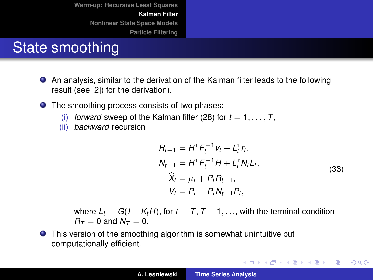# State smoothing

- An analysis, similar to the derivation of the Kalman filter leads to the following result (see [\[2\]](#page-62-0)) for the derivation).
- The smoothing process consists of two phases:
	- (i) *forward* sweep of the Kalman filter [\(28\)](#page-25-0) for  $t = 1, \ldots, T$ ,
	- (ii) *backward* recursion

$$
R_{t-1} = H^{T} F_{t}^{-1} v_{t} + L_{t}^{T} r_{t},
$$
  
\n
$$
N_{t-1} = H^{T} F_{t}^{-1} H + L_{t}^{T} N_{t} L_{t},
$$
  
\n
$$
\hat{X}_{t} = \mu_{t} + P_{t} R_{t-1},
$$
  
\n
$$
V_{t} = P_{t} - P_{t} N_{t-1} P_{t},
$$
\n(33)

イロメ イ団 トイヨメ イヨメー

 $2990$ 重

where  $L_t = G(I - K_t H)$ , for  $t = T, T - 1, \ldots$ , with the terminal condition  $R_{\tau}=0$  and  $\dot{N_{\tau}}=0$ .

**•** This version of the smoothing algorithm is somewhat unintuitive but computationally efficient.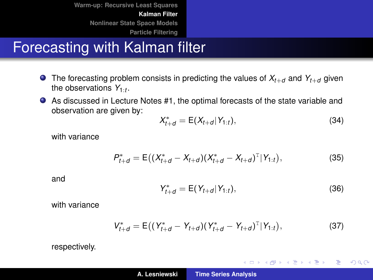# Forecasting with Kalman filter

- $\bullet$  The forecasting problem consists in predicting the values of  $X_{t+d}$  and  $Y_{t+d}$  given the observations  $Y_{1:t}$ .
- As discussed in Lecture Notes #1, the optimal forecasts of the state variable and observation are given by:

$$
X_{t+d}^* = \mathsf{E}(X_{t+d} | Y_{1:t}), \tag{34}
$$

with variance

$$
P_{t+d}^* = \mathsf{E}\big((X_{t+d}^* - X_{t+d})(X_{t+d}^* - X_{t+d})^T|Y_{1:t}\big),\tag{35}
$$

and

$$
Y_{t+d}^* = \mathsf{E}(Y_{t+d} | Y_{1:t}), \tag{36}
$$

イロメ イ部メ イヨメ イヨメー

 $2Q$ 

重

with variance

$$
V_{t+d}^* = \mathsf{E}\big((Y_{t+d}^* - Y_{t+d})(Y_{t+d}^* - Y_{t+d})^T|Y_{1:t}\big),\tag{37}
$$

respectively.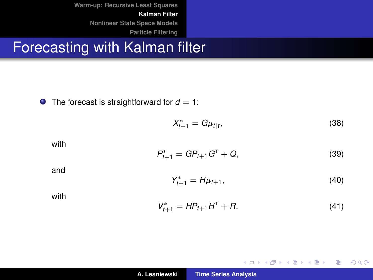## Forecasting with Kalman filter

 $\bullet$  The forecast is straightforward for  $d = 1$ :

$$
X_{t+1}^* = G\mu_{t|t},\tag{38}
$$

with

$$
P_{t+1}^* = GP_{t+1} G^T + Q,
$$
\n(39)

and

$$
Y_{t+1}^* = H\mu_{t+1},\tag{40}
$$

イロトス 伊 トス 言 トス 言 トー

重

 $2Q$ 

with

$$
V_{t+1}^* = HP_{t+1}H^T + R. \tag{41}
$$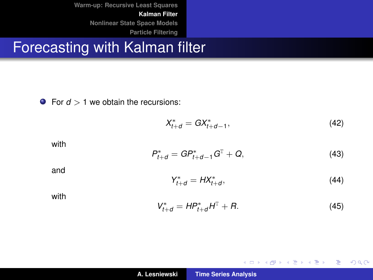## Forecasting with Kalman filter

**•** For  $d > 1$  we obtain the recursions:

$$
X_{t+d}^* = G X_{t+d-1}^*,\tag{42}
$$

with

$$
P_{t+d}^* = GP_{t+d-1}^* G^{\mathrm{T}} + Q, \qquad (43)
$$

and

$$
Y_{t+d}^* = H X_{t+d}^*,\tag{44}
$$

イロトメ 御 トメ 君 トメ 君 トー

重。  $2990$ 

with

$$
V_{t+d}^* = HP_{t+d}^*H^T + R. \tag{45}
$$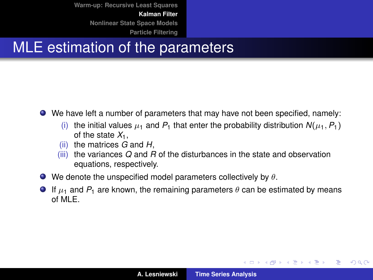# MLE estimation of the parameters

- We have left a number of parameters that may have not been specified, namely:
	- (i) the initial values  $\mu_1$  and  $P_1$  that enter the probability distribution  $N(\mu_1, P_1)$ of the state  $X_1$ ,
	- (ii) the matrices *G* and *H*,
	- (iii) the variances *Q* and *R* of the disturbances in the state and observation equations, respectively.
- $\bullet$  We denote the unspecified model parameters collectively by  $\theta$ .
- **If**  $\mu_1$  **and**  $P_1$  **are known, the remaining parameters**  $\theta$  **can be estimated by means** of MLE.

イロメ イ部メ イ君メ イ君メー

重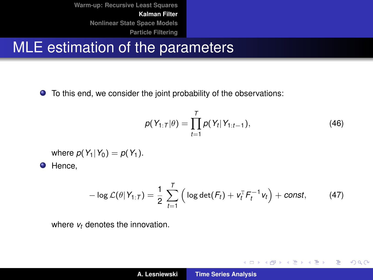# MLE estimation of the parameters

To this end, we consider the joint probability of the observations:

$$
p(Y_{1:T}|\theta) = \prod_{t=1}^{T} p(Y_t|Y_{1:t-1}),
$$
\n(46)

イロメ イ団メ イヨメ イヨメー

重。  $2990$ 

where  $p(Y_1|Y_0) = p(Y_1)$ .

**O** Hence,

$$
-\log\mathcal{L}(\theta|Y_{1:T})=\frac{1}{2}\sum_{t=1}^T\left(\log\det(F_t)+v_t^T F_t^{-1}v_t\right)+const,\qquad(47)
$$

where  $v_t$  denotes the innovation.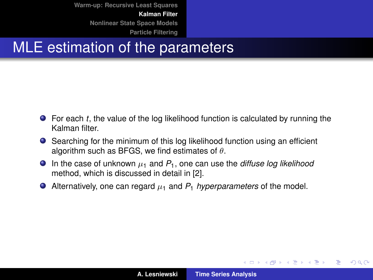# MLE estimation of the parameters

- For each *t*, the value of the log likelihood function is calculated by running the Kalman filter.
- Searching for the minimum of this log likelihood function using an efficient algorithm such as BFGS, we find estimates of  $\theta$ .
- **In the case of unknown**  $\mu_1$  and  $P_1$ , one can use the *diffuse log likelihood* method, which is discussed in detail in [\[2\]](#page-62-0).
- Alternatively, one can regard µ<sup>1</sup> and *P*<sup>1</sup> *hyperparameters* of the model.

イロメ イ部メ イ君メ イ君メー

重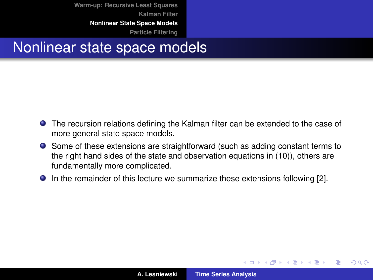**[Warm-up: Recursive Least Squares](#page-3-0) [Kalman Filter](#page-10-0) [Nonlinear State Space Models](#page-36-0)**

**[Particle Filtering](#page-44-0)**

#### Nonlinear state space models

- The recursion relations defining the Kalman filter can be extended to the case of more general state space models.
- Some of these extensions are straightforward (such as adding constant terms to the right hand sides of the state and observation equations in [\(10\)](#page-10-1)), others are fundamentally more complicated.
- **In the remainder of this lecture we summarize these extensions following [\[2\]](#page-62-0).**

(ロトス個) (運) (運)

 $QQ$ 

Þ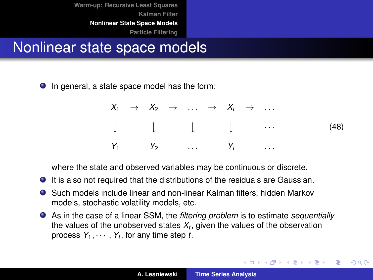<span id="page-36-0"></span>Nonlinear state space models

● In general, a state space model has the form:

|  |  | $X_1 \rightarrow X_2 \rightarrow \ldots \rightarrow X_t \rightarrow \ldots$             |  |  |                                                                                                               |
|--|--|-----------------------------------------------------------------------------------------|--|--|---------------------------------------------------------------------------------------------------------------|
|  |  |                                                                                         |  |  | $\downarrow \qquad \qquad \downarrow \qquad \qquad \downarrow \qquad \qquad \qquad \cdots \qquad \qquad (48)$ |
|  |  | $Y_1 \t Y_2 \t \t \t Y_1 \t \t \t \t \t \t \t \t Y_2 \t \t \t \t \t \t \t \t \t \t Y_3$ |  |  |                                                                                                               |

イロメ イ部メ イヨメ イヨメー

÷.  $298$ 

where the state and observed variables may be continuous or discrete.

- It is also not required that the distributions of the residuals are Gaussian.
- Such models include linear and non-linear Kalman filters, hidden Markov models, stochastic volatility models, etc.
- As in the case of a linear SSM, the *filtering problem* is to estimate *sequentially* the values of the unobserved states  $X_t,$  given the values of the observation process  $Y_1, \cdots, Y_t$ , for any time step *t*.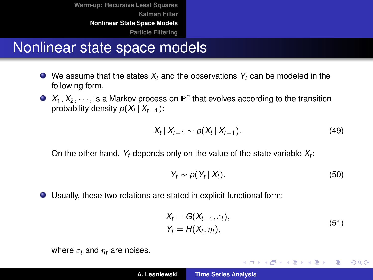**[Warm-up: Recursive Least Squares](#page-3-0) [Kalman Filter](#page-10-0) [Nonlinear State Space Models](#page-36-0)**

**[Particle Filtering](#page-44-0)**

#### Nonlinear state space models

- $\bullet$  We assume that the states  $X_t$  and the observations  $Y_t$  can be modeled in the following form.
- $X_1, X_2, \dots$ , is a Markov process on  $\mathbb{R}^n$  that evolves according to the transition probability density  $p(X_t | X_{t-1})$ :

$$
X_t | X_{t-1} \sim p(X_t | X_{t-1}). \tag{49}
$$

On the other hand, *Y<sup>t</sup>* depends only on the value of the state variable *X<sup>t</sup>* :

$$
Y_t \sim p(Y_t \,|\, X_t). \tag{50}
$$

Usually, these two relations are stated in explicit functional form:

$$
X_t = G(X_{t-1}, \varepsilon_t),
$$
  
\n
$$
Y_t = H(X_t, \eta_t),
$$
\n(51)

K ロ ⊁ K 伊 ⊁ K 君 ⊁ K 君 ⊁ …

 $\equiv$  990

<span id="page-37-0"></span>where  $\varepsilon_t$  and  $\eta_t$  are noises.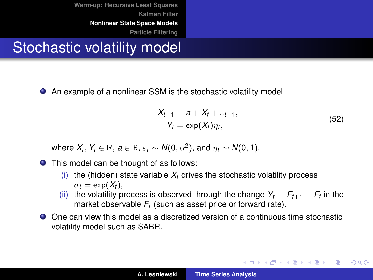# Stochastic volatility model

An example of a nonlinear SSM is the stochastic volatility model

$$
X_{t+1} = a + X_t + \varepsilon_{t+1},
$$
  
\n
$$
Y_t = \exp(X_t)\eta_t,
$$
\n(52)

イロメ イ団メ イヨメ イヨメー

÷.

 $298$ 

where  $X_t$ ,  $Y_t \in \mathbb{R}$ ,  $a \in \mathbb{R}$ ,  $\varepsilon_t \sim N(0, \alpha^2)$ , and  $\eta_t \sim N(0, 1)$ .

● This model can be thought of as follows:

- (i) the (hidden) state variable  $X_t$  drives the stochastic volatility process  $\sigma_t = \exp(X_t)$ ,
- (ii) the volatility process is observed through the change  $Y_t = F_{t+1} F_t$  in the market observable *F<sup>t</sup>* (such as asset price or forward rate).
- One can view this model as a discretized version of a continuous time stochastic volatility model such as SABR.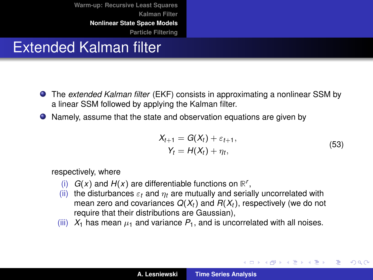# Extended Kalman filter

- The *extended Kalman filter* (EKF) consists in approximating a nonlinear SSM by a linear SSM followed by applying the Kalman filter.
- Namely, assume that the state and observation equations are given by

$$
X_{t+1} = G(X_t) + \varepsilon_{t+1},
$$
  
\n
$$
Y_t = H(X_t) + \eta_t,
$$
\n(53)

(ロトス個) (運) (運)

Þ  $2Q$ 

respectively, where

- (i)  $G(x)$  and  $H(x)$  are differentiable functions on  $\mathbb{R}^r$ ,
- (ii) the disturbances  $\varepsilon_t$  and  $\eta_t$  are mutually and serially uncorrelated with mean zero and covariances  $Q(X_t)$  and  $R(X_t)$ , respectively (we do not require that their distributions are Gaussian),
- (iii)  $X_1$  has mean  $\mu_1$  and variance  $P_1$ , and is uncorrelated with all noises.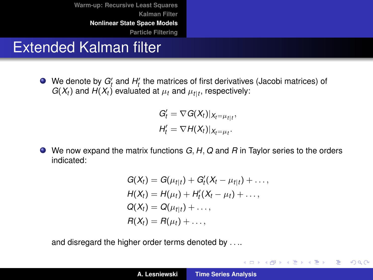# Extended Kalman filter

We denote by  $G_t'$  and  $H_t'$  the matrices of first derivatives (Jacobi matrices) of *G*( $X_t$ ) and *H*( $X_t$ ) evaluated at  $\mu_t$  and  $\mu_{t|t}$ , respectively:

> $G'_{t} = \nabla G(X_{t})|_{X_{t}=\mu_{t|t}},$  $H'_t = \nabla H(X_t)|_{X_t = \mu_t}.$

We now expand the matrix functions *G*, *H*, *Q* and *R* in Taylor series to the orders indicated:

$$
G(X_t) = G(\mu_{t|t}) + G'_t(X_t - \mu_{t|t}) + \dots,
$$
  
\n
$$
H(X_t) = H(\mu_t) + H'_t(X_t - \mu_t) + \dots,
$$
  
\n
$$
G(X_t) = G(\mu_{t|t}) + \dots,
$$
  
\n
$$
H(X_t) = H(\mu_t) + \dots,
$$

and disregard the higher order terms denoted by . . ..

イロメ イ団メ イモメ イモメー

 $2990$ 造っ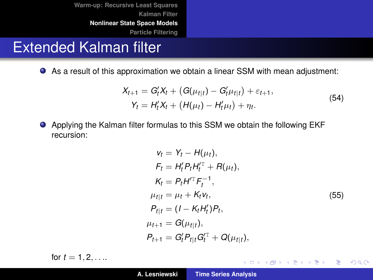# Extended Kalman filter

As a result of this approximation we obtain a linear SSM with mean adjustment:

$$
X_{t+1} = G'_t X_t + (G(\mu_{t|t}) - G'_t \mu_{t|t}) + \varepsilon_{t+1},
$$
  
\n
$$
Y_t = H'_t X_t + (H(\mu_t) - H'_t \mu_t) + \eta_t.
$$
\n(54)

Applying the Kalman filter formulas to this SSM we obtain the following EKF recursion:

$$
v_t = Y_t - H(\mu_t),
$$
  
\n
$$
F_t = H_t' P_t H_t''^T + R(\mu_t),
$$
  
\n
$$
K_t = P_t H^T F_t^{-1},
$$
  
\n
$$
\mu_{t|t} = \mu_t + K_t v_t,
$$
  
\n
$$
P_{t|t} = (I - K_t H_t') P_t,
$$
  
\n
$$
\mu_{t+1} = G(\mu_{t|t}),
$$
  
\n
$$
P_{t+1} = G_t' P_{t|t} G_t'^T + Q(\mu_{t|t}),
$$
  
\n(55)

K ロ ⊁ K 伊 ⊁ K 君 ⊁ K 君 ⊁ …

重。  $299$ 

for  $t = 1, 2, ...$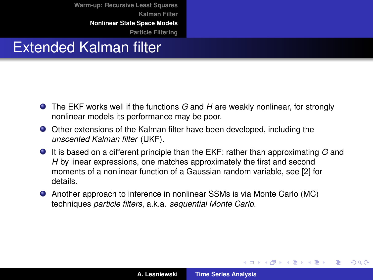# Extended Kalman filter

- The EKF works well if the functions *G* and *H* are weakly nonlinear, for strongly nonlinear models its performance may be poor.
- Other extensions of the Kalman filter have been developed, including the *unscented Kalman filter* (UKF).
- It is based on a different principle than the EKF: rather than approximating *G* and *H* by linear expressions, one matches approximately the first and second moments of a nonlinear function of a Gaussian random variable, see [\[2\]](#page-62-0) for details.
- Another approach to inference in nonlinear SSMs is via Monte Carlo (MC) techniques *particle filters*, a.k.a. *sequential Monte Carlo*.

イロメ イ部メ イ君メ イ君メー

Þ

 $QQ$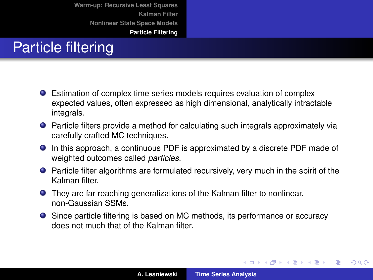# Particle filtering

- Estimation of complex time series models requires evaluation of complex expected values, often expressed as high dimensional, analytically intractable integrals.
- Particle filters provide a method for calculating such integrals approximately via carefully crafted MC techniques.
- In this approach, a continuous PDF is approximated by a discrete PDF made of weighted outcomes called *particles*.
- Particle filter algorithms are formulated recursively, very much in the spirit of the Kalman filter.
- They are far reaching generalizations of the Kalman filter to nonlinear, non-Gaussian SSMs.
- Since particle filtering is based on MC methods, its performance or accuracy does not much that of the Kalman filter.

イロメ イ部メ イヨメ イヨメー

 $299$ 

Þ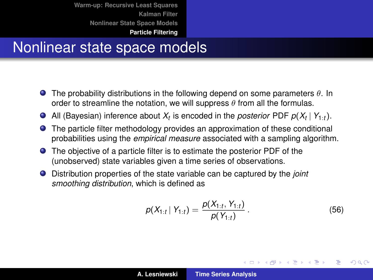**[Warm-up: Recursive Least Squares](#page-3-0) [Kalman Filter](#page-10-0) [Nonlinear State Space Models](#page-36-0)**

#### **[Particle Filtering](#page-44-0)**

#### <span id="page-44-0"></span>Nonlinear state space models

- **The probability distributions in the following depend on some parameters**  $\theta$ **. In** order to streamline the notation, we will suppress  $\theta$  from all the formulas.
- All (Bayesian) inference about  $X_t$  is encoded in the *posterior* PDF  $p(X_t | Y_{1:t})$ .
- The particle filter methodology provides an approximation of these conditional probabilities using the *empirical measure* associated with a sampling algorithm.
- The objective of a particle filter is to estimate the posterior PDF of the (unobserved) state variables given a time series of observations.
- Distribution properties of the state variable can be captured by the *joint smoothing distribution*, which is defined as

$$
p(X_{1:t} | Y_{1:t}) = \frac{p(X_{1:t}, Y_{1:t})}{p(Y_{1:t})}.
$$
 (56)

イロメ イ部メ イ君メ イ君メー

 $299$ 

Þ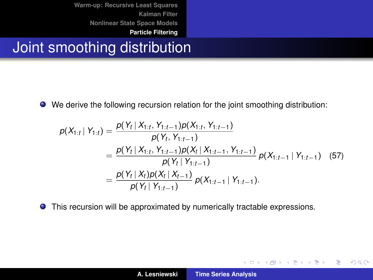# Joint smoothing distribution

We derive the following recursion relation for the joint smoothing distribution:

<span id="page-45-0"></span>
$$
\rho(X_{1:t} | Y_{1:t}) = \frac{\rho(Y_t | X_{1:t}, Y_{1:t-1})\rho(X_{1:t}, Y_{1:t-1})}{\rho(Y_t, Y_{1:t-1})}
$$
\n
$$
= \frac{\rho(Y_t | X_{1:t}, Y_{1:t-1})\rho(X_t | X_{1:t-1}, Y_{1:t-1})}{\rho(Y_t | Y_{1:t-1})}\rho(X_{1:t-1} | Y_{1:t-1}) \quad (57)
$$
\n
$$
= \frac{\rho(Y_t | X_t)\rho(X_t | X_{t-1})}{\rho(Y_t | Y_{1:t-1})}\rho(X_{1:t-1} | Y_{1:t-1}).
$$

This recursion will be approximated by numerically tractable expressions.

イロメ イ部メ イ君メ イ君メー

 $299$ 

重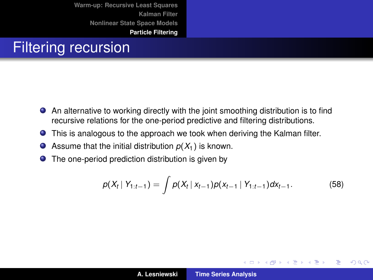# Filtering recursion

- An alternative to working directly with the joint smoothing distribution is to find recursive relations for the one-period predictive and filtering distributions.
- This is analogous to the approach we took when deriving the Kalman filter.  $\bullet$
- $\bullet$ Assume that the initial distribution  $p(X_1)$  is known.
- $\bullet$ The one-period prediction distribution is given by

<span id="page-46-0"></span>
$$
p(X_t | Y_{1:t-1}) = \int p(X_t | X_{t-1}) p(X_{t-1} | Y_{1:t-1}) dX_{t-1}.
$$
 (58)

(ロトス個) (運) (運)

 $299$ 

重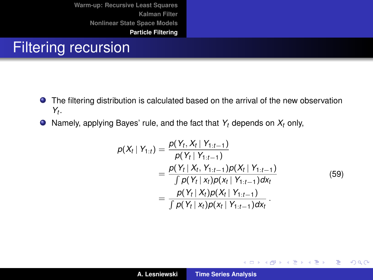# Filtering recursion

- The filtering distribution is calculated based on the arrival of the new observation *Yt* .
- <span id="page-47-0"></span>Namely, applying Bayes' rule, and the fact that *Y<sup>t</sup>* depends on *X<sup>t</sup>* only,

$$
\rho(X_t | Y_{1:t}) = \frac{\rho(Y_t, X_t | Y_{1:t-1})}{\rho(Y_t | Y_{1:t-1})}
$$
\n
$$
= \frac{\rho(Y_t | X_t, Y_{1:t-1})\rho(X_t | Y_{1:t-1})}{\int \rho(Y_t | X_t)\rho(X_t | Y_{1:t-1})dX_t}
$$
\n
$$
= \frac{\rho(Y_t | X_t)\rho(X_t | Y_{1:t-1})}{\int \rho(Y_t | X_t)\rho(X_t | Y_{1:t-1})dX_t}.
$$
\n(59)

イロメ イ部メ イヨメ イヨメー

重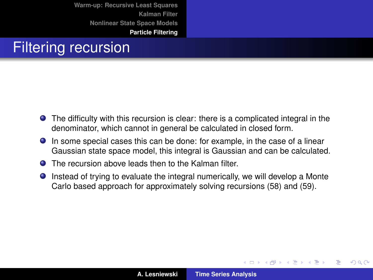# Filtering recursion

- The difficulty with this recursion is clear: there is a complicated integral in the denominator, which cannot in general be calculated in closed form.
- In some special cases this can be done: for example, in the case of a linear Gaussian state space model, this integral is Gaussian and can be calculated.
- **O** The recursion above leads then to the Kalman filter.
- Instead of trying to evaluate the integral numerically, we will develop a Monte Carlo based approach for approximately solving recursions [\(58\)](#page-46-0) and [\(59\)](#page-47-0).

(ロトス個) (運) (運)

 $299$ 

Þ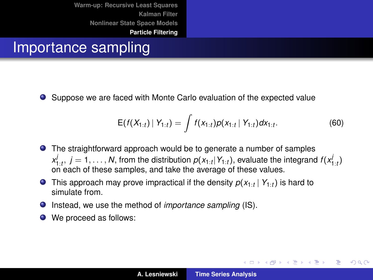#### Importance sampling

Suppose we are faced with Monte Carlo evaluation of the expected value О.

$$
E(f(X_{1:t}) | Y_{1:t}) = \int f(x_{1:t}) \rho(x_{1:t} | Y_{1:t}) dx_{1:t}.
$$
 (60)

イロメ イ部メ イ君メ イ君メー

Þ  $2Q$ 

- The straightforward approach would be to generate a number of samples  $x_{1:t}^j$ ,  $j = 1, \ldots, N$ , from the distribution  $p(x_{1:t}|Y_{1:t})$ , evaluate the integrand  $f(x_{1:t}^j)$ on each of these samples, and take the average of these values.
- This approach may prove impractical if the density *p*(*x*1:*<sup>t</sup>* | *Y*1:*<sup>t</sup>* ) is hard to simulate from.
- Instead, we use the method of *importance sampling* (IS).
- We proceed as follows: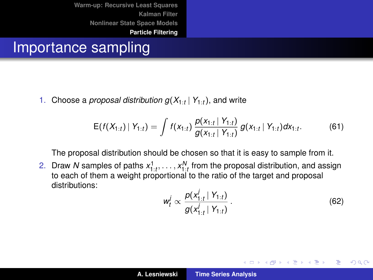#### Importance sampling

1. Choose a *proposal distribution g*(*X*1:*<sup>t</sup>* | *Y*1:*<sup>t</sup>* ), and write

$$
E(f(X_{1:t}) | Y_{1:t}) = \int f(x_{1:t}) \frac{\rho(x_{1:t} | Y_{1:t})}{g(x_{1:t} | Y_{1:t})} g(x_{1:t} | Y_{1:t}) dx_{1:t}.
$$
 (61)

The proposal distribution should be chosen so that it is easy to sample from it.

2. Draw N samples of paths  $x_1^1, \ldots, x_{1-t}^N$  from the proposal distribution, and assign 1:*t* 1:*t* to each of them a weight proportional to the ratio of the target and proposal distributions:

<span id="page-50-0"></span>
$$
w_t^j \propto \frac{p(x_{1:t}^j \mid Y_{1:t})}{g(x_{1:t}^j \mid Y_{1:t})} \,. \tag{62}
$$

イロメ イ部メ イヨメ イヨメー

 $2Q$ 

重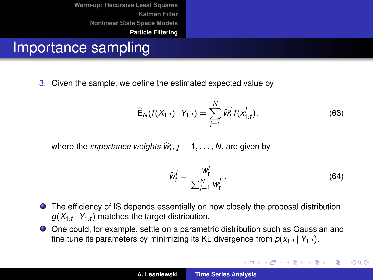#### Importance sampling

3. Given the sample, we define the estimated expected value by

$$
\widehat{\mathsf{E}}_{N}(f(X_{1:t}) | Y_{1:t}) = \sum_{j=1}^{N} \widehat{w}_{t}^{j} f(x_{1:t}^{j}), \qquad (63)
$$

where the *importance weights*  $\widehat{\mathbf{w}}_t^j$ ,  $j = 1, \ldots, N$ , are given by

$$
\widehat{w}_t^j = \frac{w_t^j}{\sum_{j=1}^N w_t^j} \,. \tag{64}
$$

K ロ ⊁ K 伊 ⊁ K 君 ⊁ K 君 ⊁ …

重

- The efficiency of IS depends essentially on how closely the proposal distribution  $g(X_{1:t} | Y_{1:t})$  matches the target distribution.
- One could, for example, settle on a parametric distribution such as Gaussian and fine tune its parameters by minimizing its KL divergence from *p*(*x*1:*<sup>t</sup>* | *Y*1:*<sup>t</sup>* ).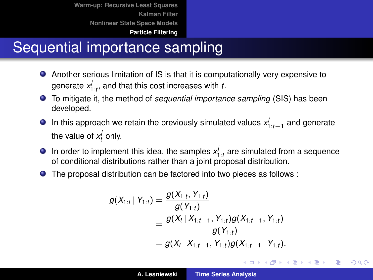# Sequential importance sampling

- Another serious limitation of IS is that it is computationally very expensive to generate  $x_{1:t}^j$ , and that this cost increases with *t*.
- To mitigate it, the method of *sequential importance sampling* (SIS) has been developed.
- In this approach we retain the previously simulated values *x j* 1:*t*−1 and generate the value of  $x_t^j$  only.
- In order to implement this idea, the samples  $x_{1:t}^j$  are simulated from a sequence of conditional distributions rather than a joint proposal distribution.
- The proposal distribution can be factored into two pieces as follows :

$$
g(X_{1:t} | Y_{1:t}) = \frac{g(X_{1:t}, Y_{1:t})}{g(Y_{1:t})}
$$
  
= 
$$
\frac{g(X_t | X_{1:t-1}, Y_{1:t})g(X_{1:t-1}, Y_{1:t})}{g(Y_{1:t})}
$$
  
= 
$$
g(X_t | X_{1:t-1}, Y_{1:t})g(X_{1:t-1} | Y_{1:t}).
$$

イロメ イ部メ イヨメ イヨメー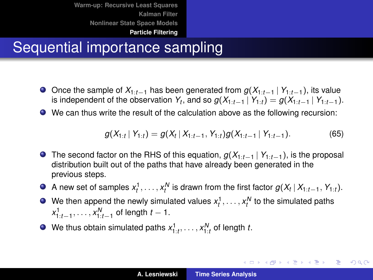# Sequential importance sampling

- Once the sample of *X*1:*t*−<sup>1</sup> has been generated from *g*(*X*1:*t*−<sup>1</sup> | *Y*1:*t*−1), its value is independent of the observation  $Y_t$ , and so  $g(X_{1:t-1} | Y_{1:t}) = g(X_{1:t-1} | Y_{1:t-1}).$
- We can thus write the result of the calculation above as the following recursion:

<span id="page-53-0"></span>
$$
g(X_{1:t} | Y_{1:t}) = g(X_t | X_{1:t-1}, Y_{1:t}) g(X_{1:t-1} | Y_{1:t-1}).
$$
\n(65)

イロト イ母 トイヨ トイヨ トーヨー

- The second factor on the RHS of this equation, *g*(*X*1:*t*−<sup>1</sup> | *Y*1:*t*−1), is the proposal distribution built out of the paths that have already been generated in the previous steps.
- A new set of samples  $x_t^1, \ldots, x_t^N$  is drawn from the first factor  $g(X_t \,|\, X_{1:t-1}, Y_{1:t}).$
- We then append the newly simulated values  $x_t^1, \ldots, x_t^N$  to the simulated paths *x*<sup>1</sup><sub>1:*t*−1</sub>, . . . , *x*<sup>*N*</sup><sub>1:*t*−1</sub> of length *t* − 1.
- We thus obtain simulated paths  $x_{1:t}^1, \ldots, x_{1:t}^N$  of length *t*.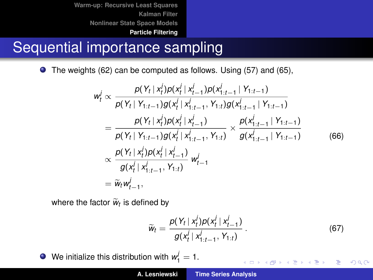# Sequential importance sampling

The weights [\(62\)](#page-50-0) can be computed as follows. Using [\(57\)](#page-45-0) and [\(65\)](#page-53-0),

$$
w_t^j \propto \frac{p(Y_t | x_t^j) p(x_t^j | x_{t-1}^j) p(x_{1:t-1}^j | Y_{1:t-1})}{p(Y_t | Y_{1:t-1}) g(x_t^j | x_{1:t-1}^j, Y_{1:t}) g(x_{1:t-1}^j | Y_{1:t-1})}
$$
  
= 
$$
\frac{p(Y_t | x_t^j) p(x_t^j | x_{t-1}^j)}{p(Y_t | Y_{1:t-1}) g(x_t^j | x_{1:t-1}^j, Y_{1:t})} \times \frac{p(x_{1:t-1}^j | Y_{1:t-1})}{g(x_{1:t-1}^j | Y_{1:t-1})}
$$
  

$$
\propto \frac{p(Y_t | x_t^j) p(x_t^j | x_{1:t-1}^j, Y_{1:t})}{g(x_t^j | x_{1:t-1}^j, Y_{1:t})} w_{t-1}^j
$$
  
= 
$$
\widetilde{w}_t w_{t-1}^j,
$$
 (66)

where the factor  $\tilde{w}_t$  is defined by

$$
\widetilde{w}_t = \frac{\rho(Y_t \mid x_t^j) \rho(x_t^j \mid x_{t-1}^j)}{g(x_t^j \mid x_{1:t-1}^j, Y_{1:t})} \,. \tag{67}
$$

イロメ イ団 トイヨメ イヨメー

重

 $299$ 

We initialize this distribution with  $w_1^j = 1$ .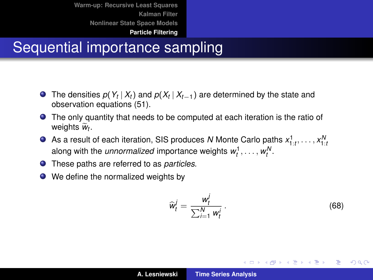# Sequential importance sampling

- The densities  $p(Y_t | X_t)$  and  $p(X_t | X_{t-1})$  are determined by the state and observation equations [\(51\)](#page-37-0).
- The only quantity that needs to be computed at each iteration is the ratio of weights  $\tilde{w}_t$ .
- As a result of each iteration, SIS produces *N* Monte Carlo paths *x* 1 1:*t* , . . . , *x N* 1:*t* along with the *unnormalized* importance weights  $w_t^1, \ldots, w_t^N$ .
- These paths are referred to as *particles*.
- We define the normalized weights by

$$
\widehat{w}_t^j = \frac{w_t^j}{\sum_{i=1}^N w_t^i}.
$$
\n(68)

イロメ イ団メ イヨメ イヨメー

重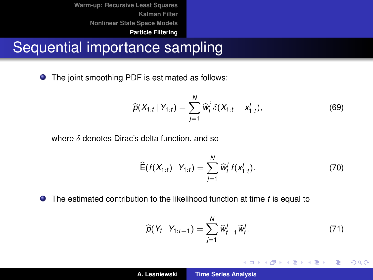#### Sequential importance sampling

The joint smoothing PDF is estimated as follows:  $\bullet$ 

$$
\widehat{\rho}(X_{1:t} | Y_{1:t}) = \sum_{j=1}^{N} \widehat{w}_t^{j} \delta(X_{1:t} - x_{1:t}^{j}), \qquad (69)
$$

where  $\delta$  denotes Dirac's delta function, and so

$$
\widehat{\mathsf{E}}(f(X_{1:t}) \mid Y_{1:t}) = \sum_{j=1}^{N} \widehat{w}_t^j f(x_{1:t}^j).
$$
 (70)

The estimated contribution to the likelihood function at time *t* is equal to

$$
\widehat{p}(Y_t | Y_{1:t-1}) = \sum_{j=1}^{N} \widehat{w}_{t-1}^j \widetilde{w}_t^j.
$$
\n(71)

イロメ イ部メ イヨメ イヨメー

 $299$ 

重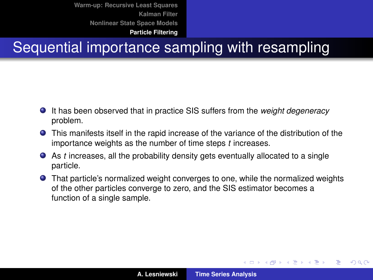# Sequential importance sampling with resampling

- It has been observed that in practice SIS suffers from the *weight degeneracy* problem.
- This manifests itself in the rapid increase of the variance of the distribution of the importance weights as the number of time steps *t* increases.
- As *t* increases, all the probability density gets eventually allocated to a single particle.
- That particle's normalized weight converges to one, while the normalized weights of the other particles converge to zero, and the SIS estimator becomes a function of a single sample.

(ロトス個) (運) (運)

 $QQ$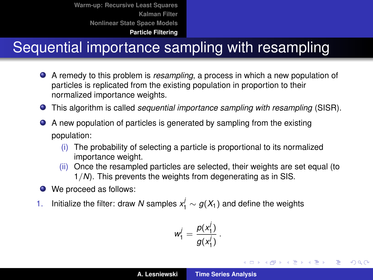# Sequential importance sampling with resampling

- A remedy to this problem is *resampling*, a process in which a new population of particles is replicated from the existing population in proportion to their normalized importance weights.
- This algorithm is called *sequential importance sampling with resampling* (SISR).
- $\bullet$ A new population of particles is generated by sampling from the existing population:
	- (i) The probability of selecting a particle is proportional to its normalized importance weight.
	- (ii) Once the resampled particles are selected, their weights are set equal (to 1/*N*). This prevents the weights from degenerating as in SIS.
- We proceed as follows:
- 1. Initialize the filter: draw *N* samples  $x_1^j \sim g(X_1)$  and define the weights

$$
w_1^j=\frac{p(x_1^j)}{g(x_1^j)}.
$$

イロメ イ団メ イヨメ イヨメー

÷.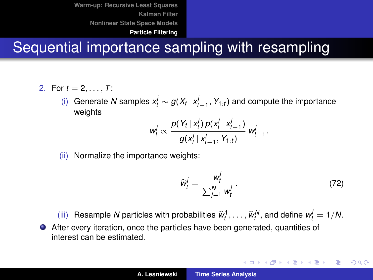# Sequential importance sampling with resampling

- 2. For  $t = 2, ..., T$ :
	- (i) Generate *N* samples  $x_t^j$  ∼  $g(X_t | x_{t-1}^j, Y_{1:t})$  and compute the importance weights

$$
w_t^j \propto \frac{p(Y_t | x_t^j) p(x_t^j | x_{t-1}^j)}{g(x_t^j | x_{t-1}^j, Y_{1:t})} w_{t-1}^j.
$$

(ii) Normalize the importance weights:

<span id="page-59-0"></span>
$$
\widehat{w}_t^j = \frac{w_t^j}{\sum_{j=1}^N w_t^j} \,. \tag{72}
$$

K ロ ⊁ K 伊 ⊁ K 君 ⊁ K 君 ⊁ …

÷.  $2Q$ 

(iii) Resample *N* particles with probabilities  $\widehat{w}_t^1, \ldots, \widehat{w}_t^N$ , and define  $w_t^j = 1/N$ . After every iteration, once the particles have been generated, quantities of interest can be estimated.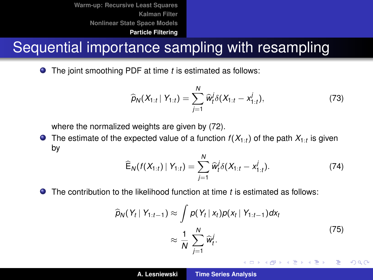# Sequential importance sampling with resampling

**O** The ioint smoothing PDF at time *t* is estimated as follows:

$$
\widehat{p}_N(X_{1:t} | Y_{1:t}) = \sum_{j=1}^N \widehat{w}_t^j \delta(X_{1:t} - x_{1:t}^j), \qquad (73)
$$

where the normalized weights are given by [\(72\)](#page-59-0).

The estimate of the expected value of a function  $f(X_{1:t})$  of the path  $X_{1:t}$  is given by

$$
\widehat{\mathsf{E}}_{N}(f(X_{1:t}) | Y_{1:t}) = \sum_{j=1}^{N} \widehat{w}_{t}^{j} \delta(X_{1:t} - x_{1:t}^{j}). \tag{74}
$$

The contribution to the likelihood function at time *t* is estimated as follows:

$$
\widehat{p}_N(Y_t | Y_{1:t-1}) \approx \int p(Y_t | x_t) p(x_t | Y_{1:t-1}) dx_t
$$
\n
$$
\approx \frac{1}{N} \sum_{j=1}^N \widehat{w}_t^j.
$$
\n(75)

イロメ イ部メ イヨメ イヨメー

重  $2Q$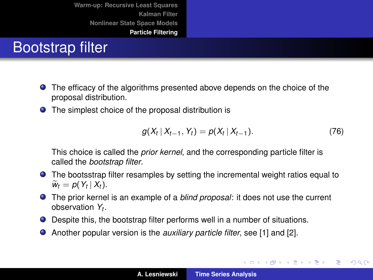# Bootstrap filter

- The efficacy of the algorithms presented above depends on the choice of the proposal distribution.
- The simplest choice of the proposal distribution is

$$
g(X_t | X_{t-1}, Y_t) = p(X_t | X_{t-1}).
$$
\n(76)

イロメ イ部メ イヨメ イヨメー

 $299$ 

Þ

This choice is called the *prior kernel*, and the corresponding particle filter is called the *bootstrap filter*.

- The bootsstrap filter resamples by setting the incremental weight ratios equal to  $\widetilde{w}_t = p(Y_t | X_t).$
- The prior kernel is an example of a *blind proposal*: it does not use the current observation *Y<sup>t</sup>* .
- Despite this, the bootstrap filter performs well in a number of situations.
- Another popular version is the *auxiliary particle filter*, see [\[1\]](#page-62-1) and [\[2\]](#page-62-0).